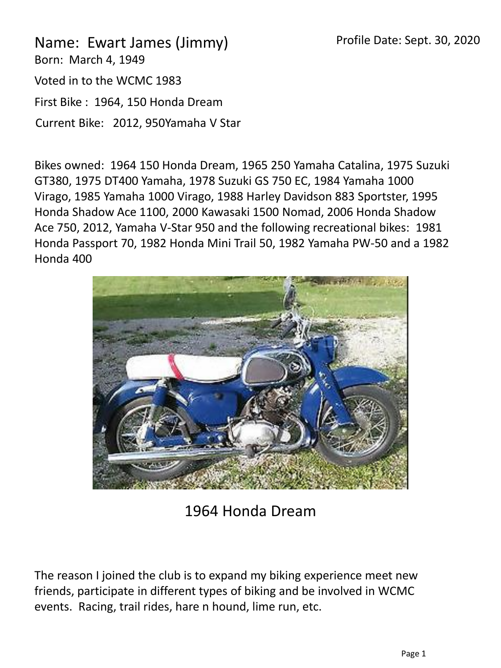Name: Ewart James (Jimmy) Born: March 4, 1949 Voted in to the WCMC 1983 First Bike : 1964, 150 Honda Dream Current Bike: 2012, 950Yamaha V Star

Bikes owned: 1964 150 Honda Dream, 1965 250 Yamaha Catalina, 1975 Suzuki GT380, 1975 DT400 Yamaha, 1978 Suzuki GS 750 EC, 1984 Yamaha 1000 Virago, 1985 Yamaha 1000 Virago, 1988 Harley Davidson 883 Sportster, 1995 Honda Shadow Ace 1100, 2000 Kawasaki 1500 Nomad, 2006 Honda Shadow Ace 750, 2012, Yamaha V-Star 950 and the following recreational bikes: 1981 Honda Passport 70, 1982 Honda Mini Trail 50, 1982 Yamaha PW-50 and a 1982 Honda 400



1964 Honda Dream

The reason I joined the club is to expand my biking experience meet new friends, participate in different types of biking and be involved in WCMC events. Racing, trail rides, hare n hound, lime run, etc.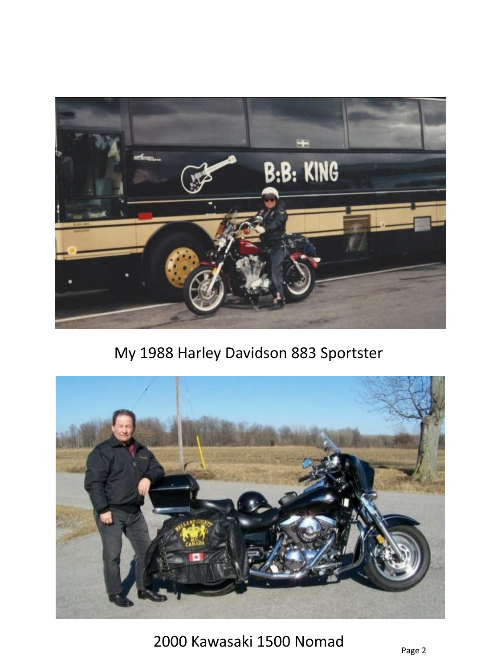

My 1988 Harley Davidson 883 Sportster



2000 Kawasaki 1500 Nomad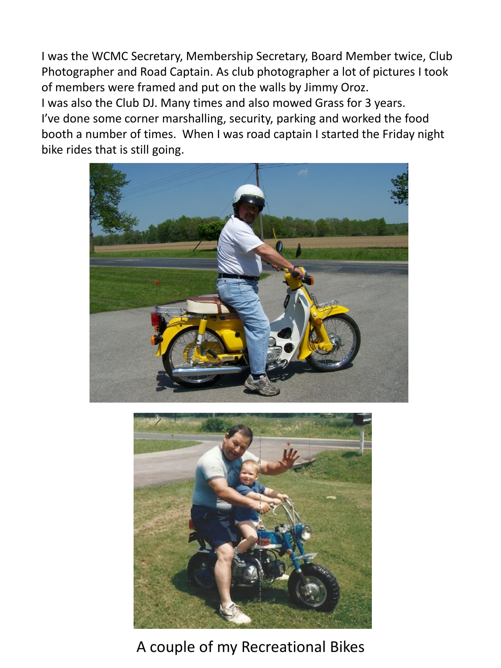I was the WCMC Secretary, Membership Secretary, Board Member twice, Club Photographer and Road Captain. As club photographer a lot of pictures I took of members were framed and put on the walls by Jimmy Oroz. I was also the Club DJ. Many times and also mowed Grass for 3 years. I've done some corner marshalling, security, parking and worked the food booth a number of times. When I was road captain I started the Friday night bike rides that is still going.





## A couple of my Recreational Bikes